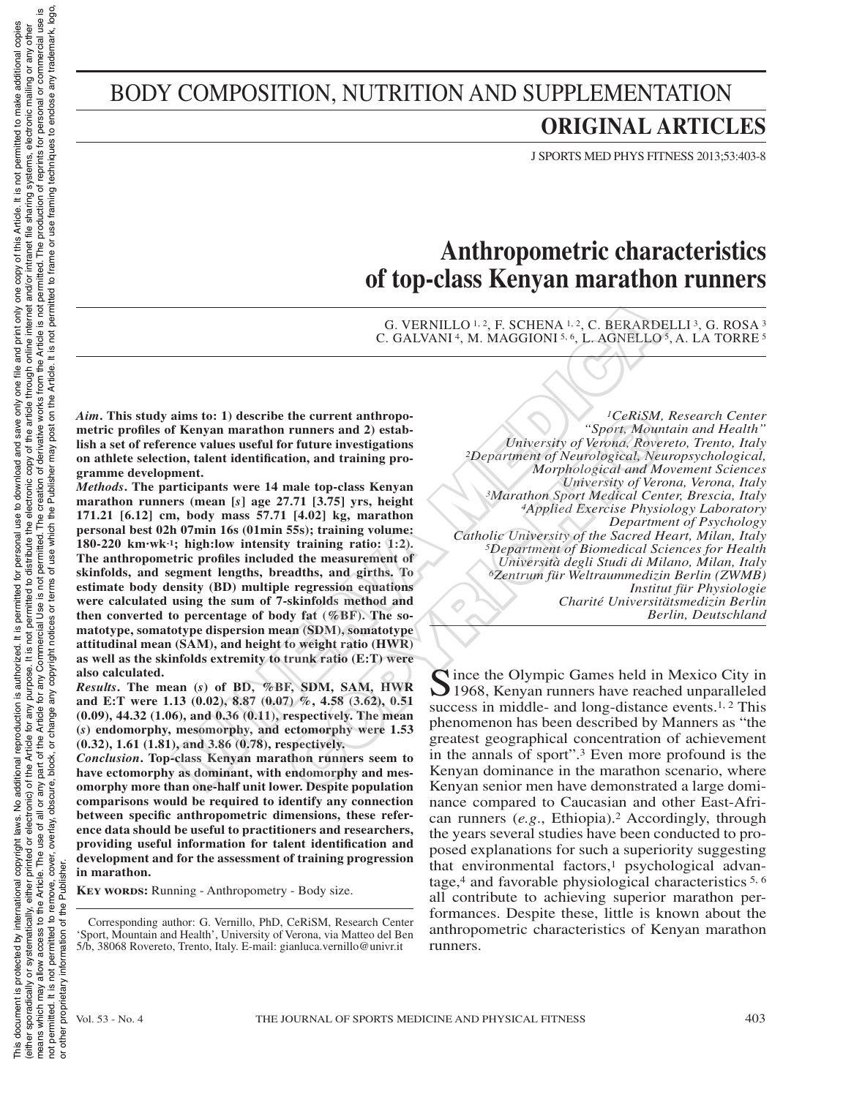# BODY COMPOSITION, NUTRITION AND SUPPLEMENTATION

# **ORIGINAL ARTICLES**

J SPORTS MED PHYS FITNESS 2013;53:403-8

# **Anthropometric characteristics of top-class Kenyan marathon runners**

G. VERNILLO 1, 2, F. SCHENA 1, 2, C. BERARDELLI 3, G. ROSA 3 C. GALVANI<sup>4</sup>, M. MAGGIONI<sup>5, 6</sup>, L. AGNELLO<sup>5</sup>, A. LA TORRE<sup>5</sup>

*Aim***. This study aims to: 1) describe the current anthropometric profiles of Kenyan marathon runners and 2) establish a set of reference values useful for future investigations on athlete selection, talent identification, and training programme development.**

*Methods***. The participants were 14 male top-class Kenyan marathon runners (mean [***s***] age 27.71 [3.75] yrs, height 171.21 [6.12] cm, body mass 57.71 [4.02] kg, marathon personal best 02h 07min 16s (01min 55s); training volume: 180-220 km·wk-1; high:low intensity training ratio: 1:2). The anthropometric profiles included the measurement of skinfolds, and segment lengths, breadths, and girths. To estimate body density (BD) multiple regression equations were calculated using the sum of 7-skinfolds method and then converted to percentage of body fat (%BF). The somatotype, somatotype dispersion mean (SDM), somatotype attitudinal mean (SAM), and height to weight ratio (HWR) as well as the skinfolds extremity to trunk ratio (E:T) were also calculated.** G. VERNILLO<sup>1,2</sup>, F. SCHENA<sup>1,2</sup>, C. BERARD<br>
C. GALVANI<sup>4</sup>, M. MAGGIONI<sup>5,6</sup>, L. AGNELLO<br>
C. GALVANI<sup>4</sup>, M. MAGGIONI<sup>5,6</sup>, L. AGNELLO<br>
Newsprame arather numeras and 2) estable<br>
Merivary (*Verma, Reverse all to the current* 

*Results***. The mean (***s***) of BD, %BF, SDM, SAM, HWR and E:T were 1.13 (0.02), 8.87 (0.07) %, 4.58 (3.62), 0.51 (0.09), 44.32 (1.06), and 0.36 (0.11), respectively. The mean (***s***) endomorphy, mesomorphy, and ectomorphy were 1.53 (0.32), 1.61 (1.81), and 3.86 (0.78), respectively.**

*Conclusion***. Top-class Kenyan marathon runners seem to have ectomorphy as dominant, with endomorphy and mesomorphy more than one-half unit lower. Despite population comparisons would be required to identify any connection between specific anthropometric dimensions, these reference data should be useful to practitioners and researchers, providing useful information for talent identification and development and for the assessment of training progression in marathon.**

**KEY WORDS:** Running - Anthropometry - Body size.

Corresponding author: G. Vernillo, PhD, CeRiSM, Research Center 'Sport, Mountain and Health', University of Verona, via Matteo del Ben 5/b, 38068 Rovereto, Trento, Italy. E-mail: gianluca.vernillo@univr.it

*1CeRiSM, Research Center "Sport, Mountain and Health" University of Verona, Rovereto, Trento, Italy 2Department of Neurological, Neuropsychological, Morphological and Movement Sciences University of Verona, Verona, Italy 3Marathon Sport Medical Center, Brescia, Italy 4Applied Exercise Physiology Laboratory Department of Psychology Catholic University of the Sacred Heart, Milan, Italy 5Department of Biomedical Sciences for Health Università degli Studi di Milano, Milan, Italy 6Zentrum für Weltraummedizin Berlin (ZWMB) Institut für Physiologie Charité Universitätsmedizin Berlin Berlin, Deutschland* The current anthropoology and the current samples of Veronia, Now the current samples of the current intensity of Veronia, Rover and Morphological Morphological Morphological Morphological and Morphological and Morphologic

Since the Olympic Games held in Mexico City in 1968, Kenyan runners have reached unparalleled success in middle- and long-distance events.<sup>1, 2</sup> This phenomenon has been described by Manners as "the greatest geographical concentration of achievement in the annals of sport".3 Even more profound is the Kenyan dominance in the marathon scenario, where Kenyan senior men have demonstrated a large dominance compared to Caucasian and other East-African runners (*e.g*., Ethiopia).2 Accordingly, through the years several studies have been conducted to proposed explanations for such a superiority suggesting that environmental factors, $\frac{1}{1}$  psychological advantage,4 and favorable physiological characteristics 5, 6 all contribute to achieving superior marathon performances. Despite these, little is known about the anthropometric characteristics of Kenyan marathon runners.

or other proprietary information of the Publisher.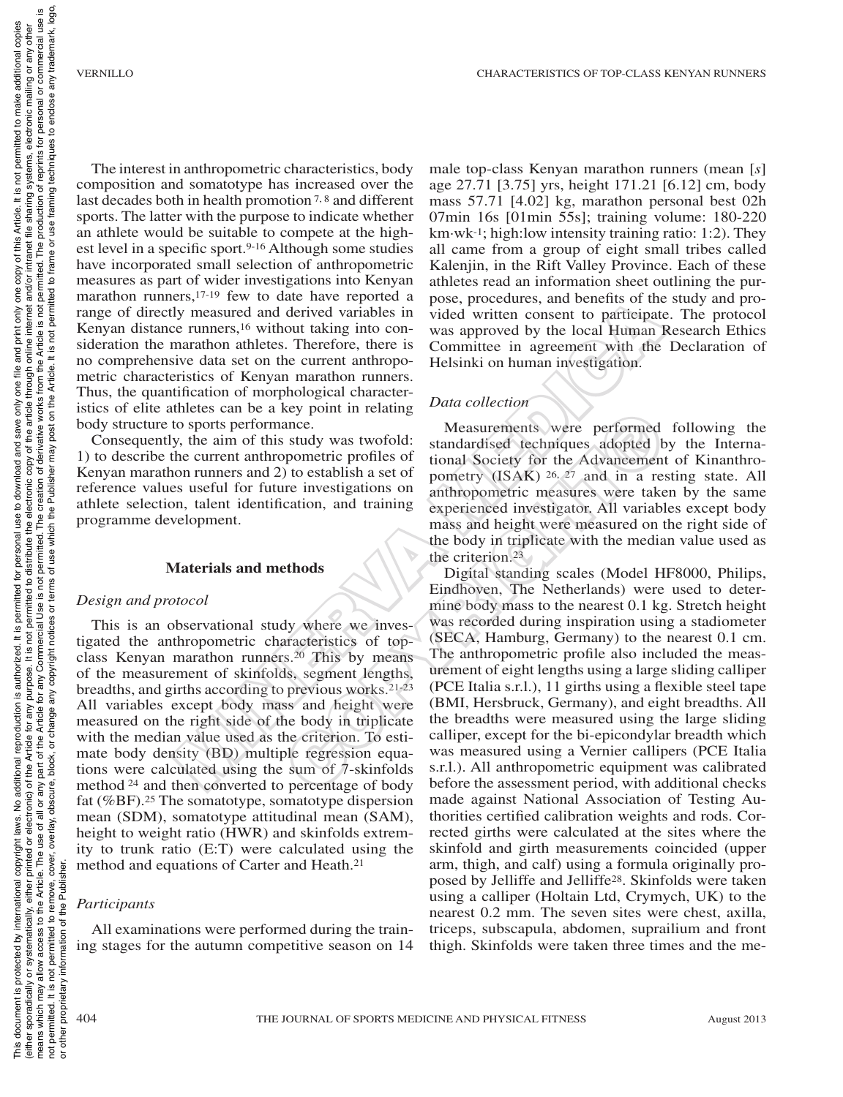The interest in anthropometric characteristics, body composition and somatotype has increased over the last decades both in health promotion<sup>7,8</sup> and different sports. The latter with the purpose to indicate whether an athlete would be suitable to compete at the highest level in a specific sport.<sup>9-16</sup> Although some studies have incorporated small selection of anthropometric measures as part of wider investigations into Kenyan marathon runners,17-19 few to date have reported a range of directly measured and derived variables in Kenyan distance runners,16 without taking into consideration the marathon athletes. Therefore, there is no comprehensive data set on the current anthropometric characteristics of Kenyan marathon runners. Thus, the quantification of morphological characteristics of elite athletes can be a key point in relating body structure to sports performance.

Consequently, the aim of this study was twofold: 1) to describe the current anthropometric profiles of Kenyan marathon runners and 2) to establish a set of reference values useful for future investigations on athlete selection, talent identification, and training programme development.

#### **Materials and methods**

#### *Design and protocol*

This is an observational study where we investigated the anthropometric characteristics of topclass Kenyan marathon runners.20 This by means of the measurement of skinfolds, segment lengths, breadths, and girths according to previous works.21-23 All variables except body mass and height were measured on the right side of the body in triplicate with the median value used as the criterion. To estimate body density (BD) multiple regression equations were calculated using the sum of 7-skinfolds method 24 and then converted to percentage of body fat (%BF).25 The somatotype, somatotype dispersion mean (SDM), somatotype attitudinal mean (SAM), height to weight ratio (HWR) and skinfolds extremity to trunk ratio (E:T) were calculated using the method and equations of Carter and Heath.21

#### *Participants*

All examinations were performed during the training stages for the autumn competitive season on 14 male top-class Kenyan marathon runners (mean [*s*] age 27.71 [3.75] yrs, height 171.21 [6.12] cm, body mass 57.71 [4.02] kg, marathon personal best 02h 07min 16s [01min 55s]; training volume: 180-220  $km·wk^{-1}$ ; high:low intensity training ratio: 1:2). They all came from a group of eight small tribes called Kalenjin, in the Rift Valley Province. Each of these athletes read an information sheet outlining the purpose, procedures, and benefits of the study and provided written consent to participate. The protocol was approved by the local Human Research Ethics Committee in agreement with the Declaration of Helsinki on human investigation.

## *Data collection*

Measurements were performed following the standardised techniques adopted by the International Society for the Advancement of Kinanthropometry (ISAK) 26, 27 and in a resting state. All anthropometric measures were taken by the same experienced investigator. All variables except body mass and height were measured on the right side of the body in triplicate with the median value used as the criterion.23

Digital standing scales (Model HF8000, Philips, Eindhoven, The Netherlands) were used to determine body mass to the nearest 0.1 kg. Stretch height was recorded during inspiration using a stadiometer (SECA, Hamburg, Germany) to the nearest 0.1 cm. The anthropometric profile also included the measurement of eight lengths using a large sliding calliper (PCE Italia s.r.l.), 11 girths using a flexible steel tape (BMI, Hersbruck, Germany), and eight breadths. All the breadths were measured using the large sliding calliper, except for the bi-epicondylar breadth which was measured using a Vernier callipers (PCE Italia s.r.l.). All anthropometric equipment was calibrated before the assessment period, with additional checks made against National Association of Testing Authorities certified calibration weights and rods. Corrected girths were calculated at the sites where the skinfold and girth measurements coincided (upper arm, thigh, and calf) using a formula originally proposed by Jelliffe and Jelliffe28. Skinfolds were taken using a calliper (Holtain Ltd, Crymych, UK) to the nearest 0.2 mm. The seven sites were chest, axilla, triceps, subscapula, abdomen, suprailium and front thigh. Skinfolds were taken three times and the me-Les the content in the main to poster the contents of our any-<br>six the certains of the content of the certains and derived variables in vided written consent to participate<br>maratahon afthe same and the current andropologi Neasurements were performed<br>study was twofold:<br>standardised techniques adopted by<br>ometric profiles of tional Society for the Advancement<br>of pometric profiles of pometry (ISAK) <sup>26, 27</sup> and in a ret<br>re investigations on ant

or other proprietary information of the Publisher.

other proprietary information

 $\overline{5}$ 

Publis

the đ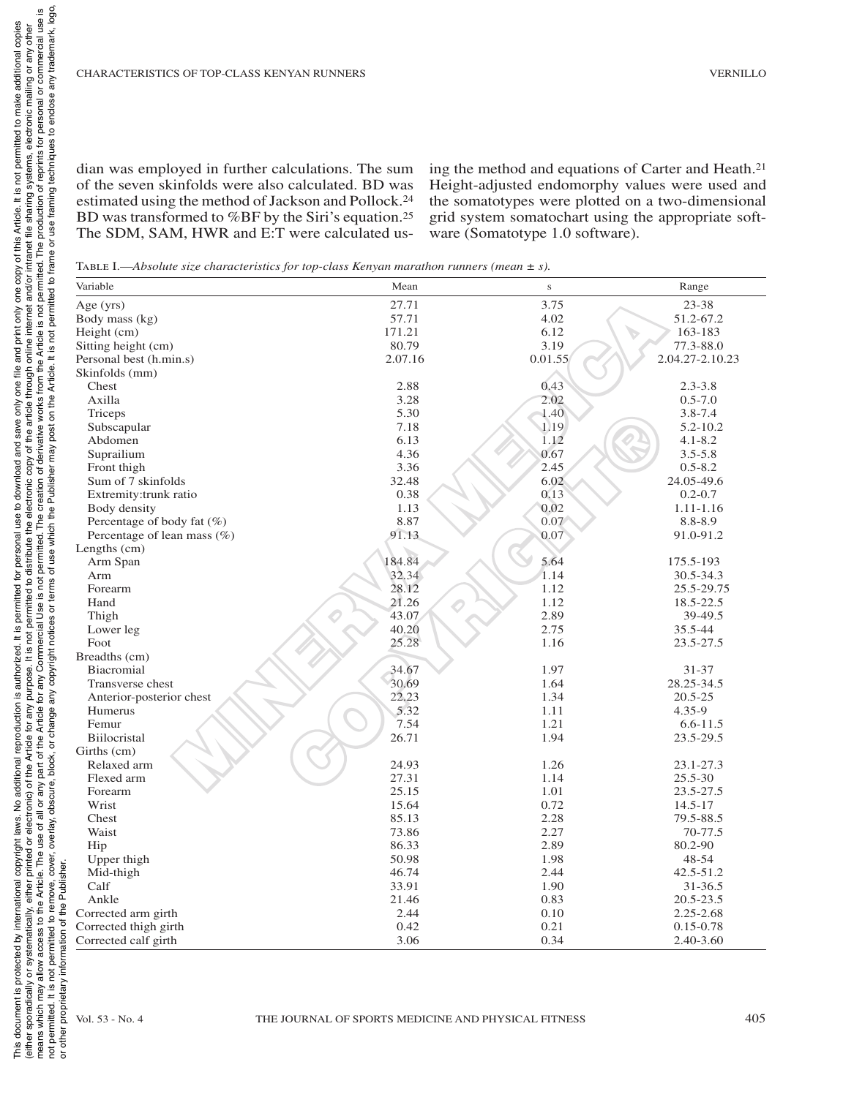dian was employed in further calculations. The sum of the seven skinfolds were also calculated. BD was estimated using the method of Jackson and Pollock.24 BD was transformed to %BF by the Siri's equation.25 The SDM, SAM, HWR and E:T were calculated using the method and equations of Carter and Heath.21 Height-adjusted endomorphy values were used and the somatotypes were plotted on a two-dimensional grid system somatochart using the appropriate software (Somatotype 1.0 software).

Table I.—*Absolute size characteristics for top-class Kenyan marathon runners (mean ± s).*

| Variable                    | Mean                                                | $\bf S$ | Range                           |
|-----------------------------|-----------------------------------------------------|---------|---------------------------------|
| Age (yrs)                   | 27.71                                               | 3.75    | 23-38                           |
| Body mass (kg)              | 57.71                                               | 4.02    | 51.2-67.2                       |
| Height (cm)                 | 171.21                                              | 6.12    | $\blacktriangledown$<br>163-183 |
| Sitting height (cm)         | 80.79                                               | 3.19    | 77.3-88.0                       |
| Personal best (h.min.s)     | 2.07.16                                             | 0.01.55 | 2.04.27-2.10.23                 |
| Skinfolds (mm)              |                                                     |         |                                 |
| Chest                       | 2.88                                                | 0.43    | $2.3 - 3.8$                     |
| Axilla                      | 3.28                                                | 2.02    | $0.5 - 7.0$                     |
| Triceps                     | 5.30                                                | 1.40    | $3.8 - 7.4$                     |
| Subscapular                 | 7.18                                                | 1.19    | $5.2 - 10.2$                    |
| Abdomen                     | 6.13                                                | 1.12    | $4.1 - 8.2$                     |
| Suprailium                  | 4.36                                                | 0.67    | $3.5 - 5.8$                     |
| Front thigh                 | 3.36                                                | 2.45    | $0.5 - 8.2$                     |
| Sum of 7 skinfolds          | 32.48                                               | 6.02    | 24.05-49.6                      |
| Extremity:trunk ratio       | 0.38                                                | 0.13    | $0.2 - 0.7$                     |
| Body density                | 1.13                                                | 0.02    | $1.11 - 1.16$                   |
| Percentage of body fat (%)  | 8.87                                                | 0.07    | 8.8-8.9                         |
| Percentage of lean mass (%) | 91.13                                               | 0.07    | 91.0-91.2                       |
| Lengths (cm)                |                                                     |         |                                 |
| Arm Span                    | 184.84                                              | 5.64    | 175.5-193                       |
| Arm                         | 32.34                                               | 1.14    | 30.5-34.3                       |
| Forearm                     | 28.12                                               | 1.12    | 25.5-29.75                      |
|                             | 21.26                                               |         |                                 |
| Hand                        | Ô                                                   | 1.12    | 18.5-22.5                       |
| Thigh                       | 43.07                                               | 2.89    | 39-49.5                         |
| Lower leg                   | 40.20                                               | 2.75    | 35.5-44                         |
| Foot                        | 25.28                                               | 1.16    | 23.5-27.5                       |
| Breadths (cm)               |                                                     |         |                                 |
| Biacromial                  | 34.67                                               | 1.97    | $31 - 37$                       |
| Transverse chest            | 30.69                                               | 1.64    | 28.25-34.5                      |
| Anterior-posterior chest    | 22.23                                               | 1.34    | $20.5 - 25$                     |
| Humerus                     | 5.32                                                | 1.11    | $4.35 - 9$                      |
| Femur                       | 7.54                                                | 1.21    | $6.6 - 11.5$                    |
| Biilocristal                | 26.71                                               | 1.94    | 23.5-29.5                       |
| Girths (cm)                 |                                                     |         |                                 |
| Relaxed arm                 | 24.93                                               | 1.26    | 23.1-27.3                       |
| Flexed arm                  | 27.31                                               | 1.14    | 25.5-30                         |
| Forearm                     | 25.15                                               | 1.01    | 23.5-27.5                       |
| Wrist                       | 15.64                                               | 0.72    | $14.5 - 17$                     |
| Chest                       | 85.13                                               | 2.28    | 79.5-88.5                       |
| Waist                       | 73.86                                               | 2.27    | 70-77.5                         |
| Hip                         | 86.33                                               | 2.89    | 80.2-90                         |
| Upper thigh                 | 50.98                                               | 1.98    | 48-54                           |
| Mid-thigh                   | 46.74                                               | 2.44    | 42.5-51.2                       |
| Calf                        | 33.91                                               | 1.90    | 31-36.5                         |
| Ankle                       | 21.46                                               | 0.83    | 20.5-23.5                       |
| Corrected arm girth         | 2.44                                                | 0.10    | 2.25-2.68                       |
| Corrected thigh girth       | 0.42                                                | 0.21    | $0.15 - 0.78$                   |
| Corrected calf girth        | 3.06                                                | 0.34    | 2.40-3.60                       |
|                             |                                                     |         |                                 |
| Vol. 53 - No. 4             | THE JOURNAL OF SPORTS MEDICINE AND PHYSICAL FITNESS |         |                                 |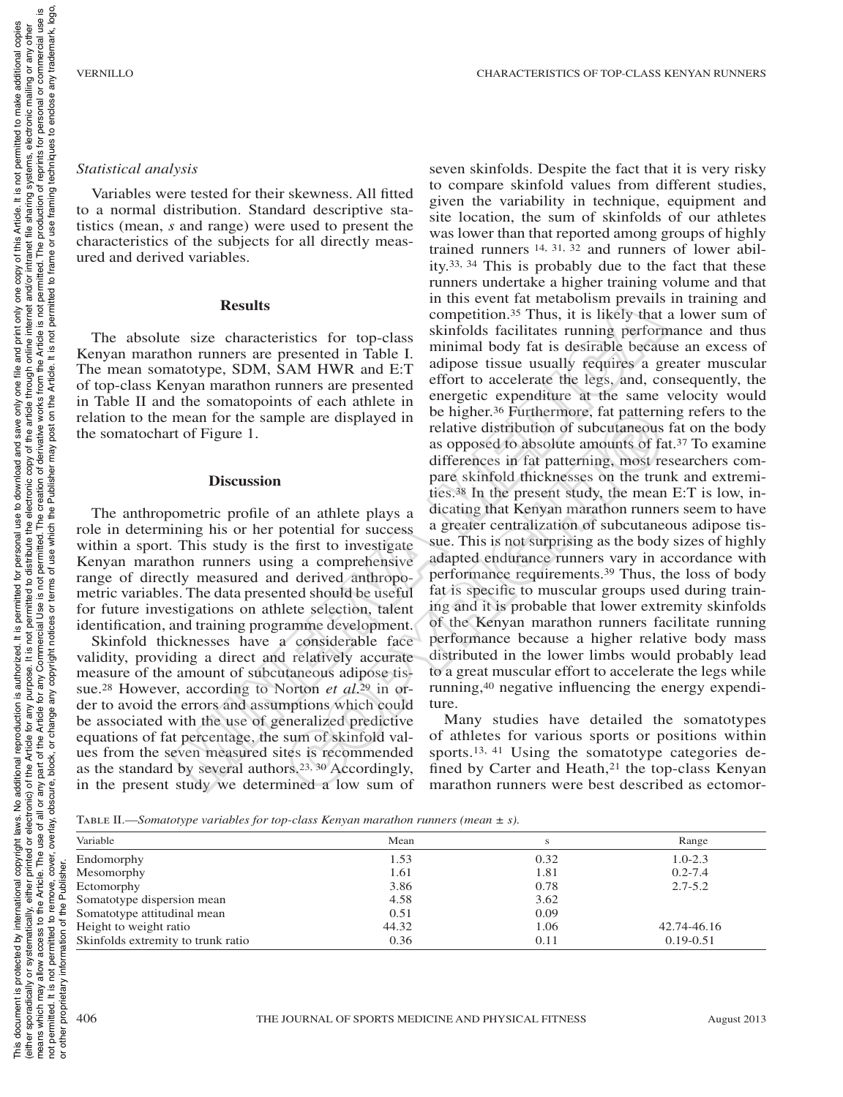techniques to enclose any trademark, logo,

copies

additional

It is not permitted to make

Article.

of this copy one only print and<sub>l</sub> € one only save

#### *Statistical analysis*

Variables were tested for their skewness. All fitted to a normal distribution. Standard descriptive statistics (mean, *s* and range) were used to present the characteristics of the subjects for all directly measured and derived variables.

### **Results**

The absolute size characteristics for top-class Kenyan marathon runners are presented in Table I. The mean somatotype, SDM, SAM HWR and E:T of top-class Kenyan marathon runners are presented in Table II and the somatopoints of each athlete in relation to the mean for the sample are displayed in the somatochart of Figure 1.

### **Discussion**

The anthropometric profile of an athlete plays a role in determining his or her potential for success within a sport. This study is the first to investigate Kenyan marathon runners using a comprehensive range of directly measured and derived anthropometric variables. The data presented should be useful for future investigations on athlete selection, talent identification, and training programme development.

Skinfold thicknesses have a considerable face validity, providing a direct and relatively accurate measure of the amount of subcutaneous adipose tissue.28 However, according to Norton *et al*.29 in order to avoid the errors and assumptions which could be associated with the use of generalized predictive equations of fat percentage, the sum of skinfold values from the seven measured sites is recommended as the standard by several authors.23, 30 Accordingly, in the present study we determined a low sum of

seven skinfolds. Despite the fact that it is very risky to compare skinfold values from different studies, given the variability in technique, equipment and site location, the sum of skinfolds of our athletes was lower than that reported among groups of highly trained runners 14, 31, 32 and runners of lower ability.33, 34 This is probably due to the fact that these runners undertake a higher training volume and that in this event fat metabolism prevails in training and competition.35 Thus, it is likely that a lower sum of skinfolds facilitates running performance and thus minimal body fat is desirable because an excess of adipose tissue usually requires a greater muscular effort to accelerate the legs, and, consequently, the energetic expenditure at the same velocity would be higher.36 Furthermore, fat patterning refers to the relative distribution of subcutaneous fat on the body as opposed to absolute amounts of fat.37 To examine differences in fat patterning, most researchers compare skinfold thicknesses on the trunk and extremities.38 In the present study, the mean E:T is low, indicating that Kenyan marathon runners seem to have a greater centralization of subcutaneous adipose tissue. This is not surprising as the body sizes of highly adapted endurance runners vary in accordance with performance requirements.39 Thus, the loss of body fat is specific to muscular groups used during training and it is probable that lower extremity skinfolds of the Kenyan marathon runners facilitate running performance because a higher relative body mass distributed in the lower limbs would probably lead to a great muscular effort to accelerate the legs while running,40 negative influencing the energy expenditure. **Results**<br>
we use the rate mometim and the incubations of the measure and the second on runners are presented. This include the sky and control and the proportion. STMs, it is likely that a distant about the scale of the ple are displayed in the number.<sup>36</sup> Furthermore, tat pattern<br>
relative distribution of subcuttaneous<br>
as opposed to absolute amounts of the<br>
differences in fat patterning, most re<br>
pare skinfold thicknesses on the tru<br>
i

Many studies have detailed the somatotypes of athletes for various sports or positions within sports.<sup>13, 41</sup> Using the somatotype categories defined by Carter and Heath,<sup>21</sup> the top-class Kenyan marathon runners were best described as ectomor-

Table II.—*Somatotype variables for top-class Kenyan marathon runners (mean ± s).*

| Variable                           | Mean  | S    | Range         |
|------------------------------------|-------|------|---------------|
| Endomorphy                         | 1.53  | 0.32 | $1.0 - 2.3$   |
| Mesomorphy                         | 1.61  | 1.81 | $0.2 - 7.4$   |
| Ectomorphy                         | 3.86  | 0.78 | $2.7 - 5.2$   |
| Somatotype dispersion mean         | 4.58  | 3.62 |               |
| Somatotype attitudinal mean        | 0.51  | 0.09 |               |
| Height to weight ratio             | 44.32 | 1.06 | 42.74-46.16   |
| Skinfolds extremity to trunk ratio | 0.36  | 0.11 | $0.19 - 0.51$ |

 $\overline{5}$ 

This document is protected by international copyright laws. No additional copinglency reproduction is authorized. It is permitted of or personal use to download and save only one file and print only of this Article. It is either sporadically, eithed or electronic) of the Article for any purpose. It is not permitted to distribute the electronic copy of the article finder internet and/or intranet file sharing systems, electronic mailing or an means which may allow access to the Article The use of all or any part of the Article for any Commercial Use is not permit for any Commercial Use is not permit for any commercial or commercial use is not permitted to remove, cover, overlay, obscure, block, or change any ochright notices or terms of use which the Publisher may post on the Article. It is not permitted to frame or use framing techniques to enclose any tra

 $\mathsf{p}$ 

is permitted

 $\pm$ 

reproduction is authorized

additional

ş laws.

copyright |

international

is protected by

document

**Chis** 

personal use to download and

rims vorations provides of interpolation and the Article for any instead is no permitted to premite the product and the Protocol of the Article The Last Article The Last Article Controller and the Article for any product i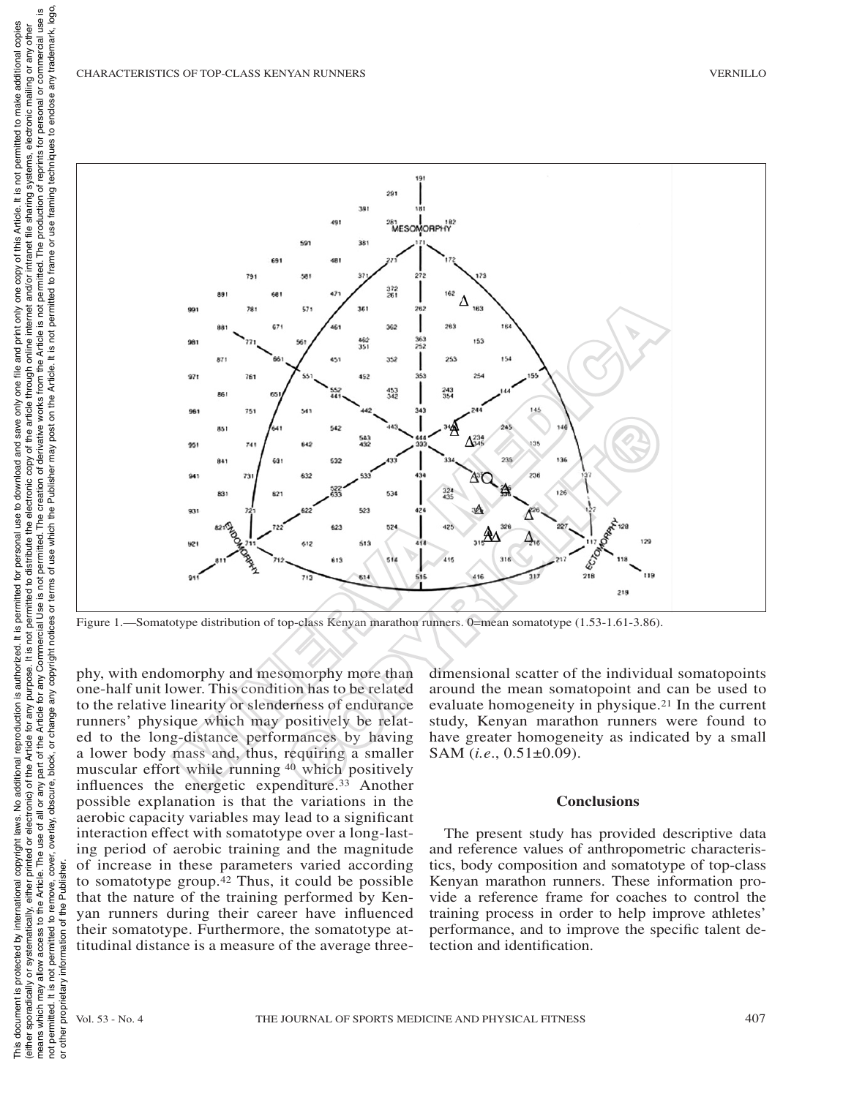

phy, with endomorphy and mesomorphy more than one-half unit lower. This condition has to be related to the relative linearity or slenderness of endurance runners' physique which may positively be related to the long-distance performances by having a lower body mass and, thus, requiring a smaller muscular effort while running 40 which positively influences the energetic expenditure.33 Another possible explanation is that the variations in the aerobic capacity variables may lead to a significant interaction effect with somatotype over a long-lasting period of aerobic training and the magnitude of increase in these parameters varied according to somatotype group.42 Thus, it could be possible that the nature of the training performed by Kenyan runners during their career have influenced their somatotype. Furthermore, the somatotype attitudinal distance is a measure of the average three-

dimensional scatter of the individual somatopoints around the mean somatopoint and can be used to evaluate homogeneity in physique.21 In the current study, Kenyan marathon runners were found to have greater homogeneity as indicated by a small SAM (*i.e*., 0.51±0.09).

## **Conclusions**

The present study has provided descriptive data and reference values of anthropometric characteristics, body composition and somatotype of top-class Kenyan marathon runners. These information provide a reference frame for coaches to control the training process in order to help improve athletes' performance, and to improve the specific talent detection and identification.

ĕ  $\overline{5}$ 

Publish

the

This document is protected by international copyright laws. No additional copinglency reproduction is authorized. It is permitted of or personal use to download and save only one file and print only of this Article. It is either sporadically, eithed or electronic) of the Article for any purpose. It is not permitted to distribute the electronic copy of the article finder internet and/or intranet file sharing systems, electronic mailing or an

tor

is permitted

 $\pm$ 

reproduction is authorized

additional

ş

copyright laws.

international

is protected by

document

**This** 

personal use to download and

the electronic copy of the article through and the creation of derivative works from the

framing techniques to enclose any trademark, logo,

additional copies

It is not permitted to make

Article.

of this

copy

one only print

and<sub>I</sub>

≝ one 1  $\sum_{i=1}^{n}$ save

of the article through online internet and/or intranet file sharing systems, electronic mailing or any other<br>rivative works from the Article is not permitted. The production of reprints for personal or commercial use is

frame or use

permitted to

not

 $\frac{1}{10}$ 

on the Article.

post

terms of use which the Publisher may

lly, either printed or electronic) of the Article for any purpose. It is not permitted to distribute the Article. The use of all or any part of the Article for any Commercial Use is not permitted. The use of all or any par